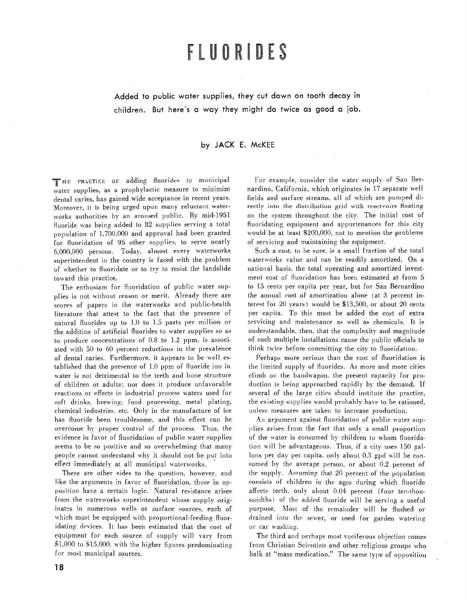# FLUORIDES

Added to public water supplies, they cut down on tooth decay in children. But here's a way they might do twice as good **a** job.

## by **JACK** E. McKEE

THE PRACTICE OF adding fluorides to municipal water supplies, as a prophylactic measure to minimize dental caries, has gained wide acceptance in recent years. Moreover, it is being urged upon many reluctant waterworks authorities by an aroused public. By mid-1951 fluoride was being added to 82 supplies serving a total population of 1.700.000 and approval had been granted for fluoridation of 95 other supplies. to serve nearly 6,000,000 persons. Today, almost every waterworks superintendent in the country is faced with the problem of whether to fluoridate or to try to resist the landslide toward this practice.

The enthusiam for fluoridation of public water supplies is not without reason or merit. Already there are scores of papers in the waterworks and public-health literature that attest to the fact that the presence of natural fluorides up to 1.0 to 1.5 parts per million or the addition of artificial fluorides to water supplies so as to produce concentrations of 0.8 to 1.2 ppm. is associated with 50 to 60 percent reductions in the prevalence of dental caries. Furthermore. it appears to be well established that the presence of 1.0 ppm of fluoride ion in water is not detrimental to the teeth and bone structure of children or adults: nor does it produce unfavorable reactions or effects in industrial process waters used for soft drinks, brewing. food processing, metal plating, chemical industries. etc. Only in the manufacture of ice has fluoride been troublesome. and this effect can be overcome by proper control of the process. Thus, the evidence in favor of fluoridation of public water supplies seems to be so positive and so overwhelming that many people cannot understand why it should not be put into effect immediately at all municipal waterworks.

There are other sides to the question, however, and like the arguments in favor of fluoridation. those in op position have a certain logic. Natural resistance arises from the waterworks superintendent whose supply originates in numerous wells or surface sources, each of which must be equipped with proportional-feeding fluoridating devices. It has been estimated that the cost of equipment for each source of supply will vary from \$1.000 to \$15,000. with the higher figures predominating for most municipal sources.

For example, consider the water supply of San Bernardino, California, which originates in 17 separate well fields and surface streams. all of which are pumped directly into the distribution grid with reservoirs floating on the system throughout the city. The initial cost of fluoridating equipment and appurtenances for this city would be at least S200.000, not to mention the problems of servicing and maintaining the equipment.

Such a cost. to be sure. is a small fraction of the total waterworks value and can be readily amortized. On a national basis. the total operating and amortized investment cost of fluoridation has been estimated at from 5 to 15 cents per capita per year, but for San Bernardino the annual cost of amortization alone (at **3** percent interest for 20 years) would be \$13,500. or about 20 cents per capita. To this must be added the cost of extra servicing and maintenance as well as chemicals. It is understandable. then. that the complexity and magnitude of such multiple installations cause the public officials to think twice before committing the city to fluoridation.

Perhaps more serious than the cost of fluoridation is the limited supply of fluorides. As more and more cities climb on the bandwagon. the present capacity for production is being approached rapidly by the demand. If several of the large cities should institute the practice, the existing supplies would probably have to be rationed, unless measures are taken to increase production.

An argument against fluoridation of public water sup plies arises from the fact that only a small proportion of the water is consumed by children to whom fluoridation will be advantageous. Thus, if a city uses 150 gallons per day per capita. only about 0.3 gpd will be consumed by the average person. or about 0.2 percent of the supply. Assuming thai 20 percent of the population consists of children in the ages during which fluoride affects teeth. only about 0.04 percent (four ten-thousandths) of the added fluoride will be serving a useful purpose. Most of the remainder will be flushed or drained into the sewer, or used for garden watering or car washing.

The third and perhaps most vociferous objection comes from Christian Scientists and other religious groups who balk at "mass medication." The same type of opposition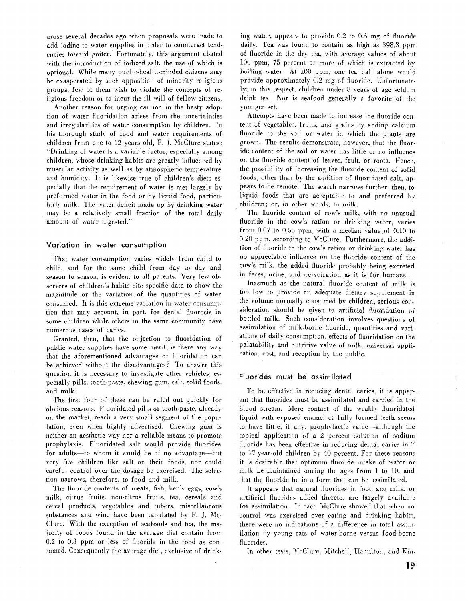arose several decades ago when proposals were made to add iodine to water supplies in order to counteract tendcncies toward goiter. Fortunately. this argument abated with the introduction of iodized salt. the use of which is optional. While many public-health-minded citizens may be exasperated by such opposition of minority religious groups. few of them wish to violate the concepts of religious freedom or to incur the ill will of fellow citizens.

Another reason for urging caution in the hasty adoption of water fluoridation arises from the uncertainties and irregularities of water consumption by children. In his thorough study of food and water requirements of children from one to 12 years old, F. J. McClure states: "Drinking of water is a variable factor, especially among children, whose drinking habits are greatly influenced by muscular activity as well as by atmospheric temperature and humidity. It is likewise true of children's diets especially that the requirement of water is met largely by preformed water in the food or by liquid food, particularly milk. The water deficit made up by drinking water may be a relatively small fraction of the total daily amount of water ingested."

### **Variation in water consumption**

That water consumption varies widely from child to child, and for the same child from day to day and season to season, is evident to all parents. Very few observers of children's habits cite specific data to show the magnitude or the variation of the quantities of waler consumed. It is this extreme variation in water consumption that may account, in part. for dental fluorosis in some children while others in the same community have numerous cases of caries.

Granted, then. that the objection to fluoridation of public water supplies have some merit, is there any way that the aforementioned advantages of fluoridation can be achieved without the disadvantages? To answer this question it is necessary to investigate other vehicles. especially pills, tooth-paste, chewing gum, salt, solid foods, and milk.

The first four of these can be ruled out quickly for obvious reasons. Fluoridated pills or tooth-paste, already on the market, reach a very small segment of the population. even when highly advertised. Chewing gum is neither an aesthetic way nor a reliable means to promote prophylaxis. Fluoridated salt would provide fluorides for adults-to whom it would be of no advantage-but very few children like salt on their foods. nor could careful control over the dosage be exercised. The selection narrows. therefore, to food and milk.

The fluoride contents of meats. fish. hen's eggs. cow's milk. citrus fruits, non-citrus fruits. tea, cereals and cereal products. vegetables and tubers. miscellaneous substances and wine have been tabulated by F. J. Mc-Clure. With the exception of seafoods and tea. the majority of foods found in the average diet contain from 0.2 to 0.3 ppm or less of fluoride in the food as consumed. Consequently the average diet, exclusive of drinking water, appears to provide  $0.2$  to  $0.3$  mg of fluoride daily. Tea was found to contain as high as 398.8 ppm of fluoride in the dry tea. with average values of about 100 ppm, 75 percent or more of which is extracted by boiling water. At 100 ppm, one tea ball alone would provide approximately 0.2 mg of fluoride. Unfortunately. in this respect, children under 8 years of age seldom drink tea. Nor is seafood generally a favorite of the younger set.

Attempts have been made to increase the fluoride content of vegetables. fruits. and grains by adding calcium fluoride to the soil or water in which the plants are grown. The results demonstrate. however, that the fluoride content of the soil or water has little or no influence on the fluoride content of leaves. fruit. or roots. Hence, the possibility of increasing the fluoride content of solid foods, other than by the addition of fluoridated salt. appears to be remote. The search narrows further. then. to liquid foods that are acceptable to and preferred by children; or, in other words, to milk.

The fluoride content of cow's milk, with no unusual fluoride in the cow's ration or drinking water, varies from 0.07 to 0.55 ppm. with a median value of 0.10 to 0.20 ppm, according to McClure. Furthermore. the addition of fluoride to the cow's ration or drinking water has no appreciable influence on the fluoride content of the cow's milk, the added fluoride probably being excreted in feces, urine. and perspiration as it is for humans.

Inasmuch as the natural fluoride content of milk is too low to provide an adequate dietary supplement in the volume normally consumed by children, serious consideration should be given to artificial fluoridation of bottled milk. Such consideration involves questions of assimilation of milk-borne fluoride. quantities and variations of daily consumption. effects of fluoridation on the palatability and nutritive value of milk. universal application. cost. and reception by the public.

#### **Fluorides must be assimilated**

To be effective in reducing dental caries, it is apparent that fluorides must be assimilated and carried in the blood stream. Mere contact of the weakly fluoridated liquid with exposed enamel of fully formed teeth seems to have little, if any, prophylactic value-although the topical application of a 2 percent solution of sodium fluoride has been effective in reducing dental caries in 7 to 17-year-old children by 40 percent. For these reasons it is desirable that optimum fluoride intake of water or milk be maintained during the ages from 1 to 10, and that the fluoride be in a form that can be assimilated.

It appears that natural fluorides in food and milk. or artificial fluorides added thereto, are largely available for assimilation. In fact. McClure showed that when no control was exercised over eating and drinking habits. there were no indications of a difference in total assimilation by young rats of water-borne versus food-borne fluorides.

In other tests. McClure. Mitchell. Hamilton. and Kin-